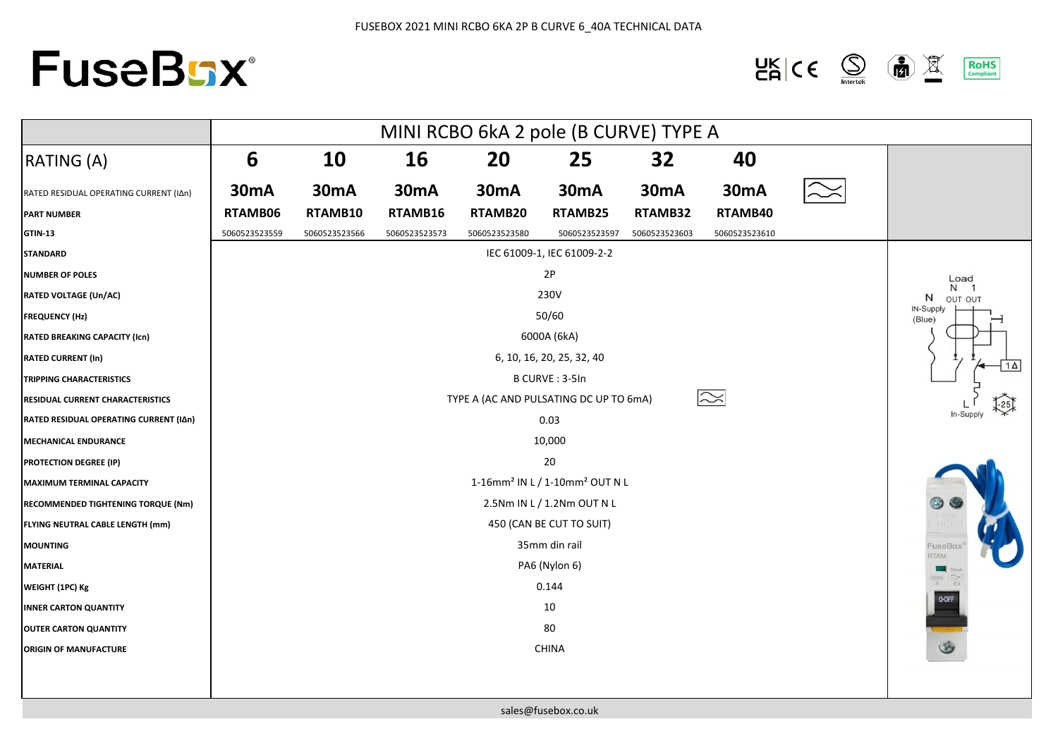## **FuseBGX®**

 $\frac{\mathsf{UK}}{\mathsf{CA}}$  (C  $\bigotimes$  $\left(\frac{1}{2} \right)$  $\boxtimes$ **RoHS**<br>Compliant

|                                        |                                                        |               |               |               | MINI RCBO 6kA 2 pole (B CURVE) TYPE A |               |                                                                                                                                            |               |  |
|----------------------------------------|--------------------------------------------------------|---------------|---------------|---------------|---------------------------------------|---------------|--------------------------------------------------------------------------------------------------------------------------------------------|---------------|--|
| <b>RATING (A)</b>                      | $6\phantom{1}6$                                        | <b>10</b>     | <b>16</b>     | 20            | 25                                    | 32            | 40                                                                                                                                         |               |  |
| RATED RESIDUAL OPERATING CURRENT (IAn) | <b>30mA</b>                                            | <b>30mA</b>   | <b>30mA</b>   | <b>30mA</b>   | <b>30mA</b>                           | <b>30mA</b>   | <b>30mA</b>                                                                                                                                |               |  |
| <b>PART NUMBER</b>                     | RTAMB06                                                | RTAMB10       | RTAMB16       | RTAMB20       | RTAMB25                               | RTAMB32       | RTAMB40                                                                                                                                    |               |  |
| <b>GTIN-13</b>                         | 5060523523559                                          | 5060523523566 | 5060523523573 | 5060523523580 | 5060523523597                         | 5060523523603 | 5060523523610                                                                                                                              |               |  |
| <b>STANDARD</b>                        | IEC 61009-1, IEC 61009-2-2                             |               |               |               |                                       |               |                                                                                                                                            |               |  |
| <b>NUMBER OF POLES</b>                 | 2P                                                     |               |               |               |                                       |               | Load                                                                                                                                       |               |  |
| <b>RATED VOLTAGE (Un/AC)</b>           | 230V                                                   |               |               |               |                                       |               | N 1<br>N<br><b>OUT OUT</b>                                                                                                                 |               |  |
| <b>FREQUENCY (Hz)</b>                  | 50/60                                                  |               |               |               |                                       |               | IN-Supply<br>(Blue)                                                                                                                        |               |  |
| <b>RATED BREAKING CAPACITY (Icn)</b>   | 6000A (6kA)                                            |               |               |               |                                       |               |                                                                                                                                            |               |  |
| <b>RATED CURRENT (In)</b>              | 6, 10, 16, 20, 25, 32, 40                              |               |               |               |                                       |               |                                                                                                                                            |               |  |
| <b>TRIPPING CHARACTERISTICS</b>        | B CURVE: 3-5In                                         |               |               |               |                                       |               |                                                                                                                                            |               |  |
| RESIDUAL CURRENT CHARACTERISTICS       | $\approx$<br>TYPE A (AC AND PULSATING DC UP TO 6mA)    |               |               |               |                                       |               |                                                                                                                                            |               |  |
| RATED RESIDUAL OPERATING CURRENT (IAn) | 0.03                                                   |               |               |               |                                       |               |                                                                                                                                            | In-Sup        |  |
| <b>MECHANICAL ENDURANCE</b>            | 10,000                                                 |               |               |               |                                       |               |                                                                                                                                            |               |  |
| <b>PROTECTION DEGREE (IP)</b>          | 20                                                     |               |               |               |                                       |               |                                                                                                                                            |               |  |
| <b>MAXIMUM TERMINAL CAPACITY</b>       | 1-16mm <sup>2</sup> IN L / 1-10mm <sup>2</sup> OUT N L |               |               |               |                                       |               |                                                                                                                                            |               |  |
| RECOMMENDED TIGHTENING TORQUE (Nm)     | 2.5Nm IN L / 1.2Nm OUT N L                             |               |               |               |                                       |               |                                                                                                                                            |               |  |
| FLYING NEUTRAL CABLE LENGTH (mm)       | 450 (CAN BE CUT TO SUIT)                               |               |               |               |                                       |               |                                                                                                                                            |               |  |
| <b>MOUNTING</b>                        | 35mm din rail                                          |               |               |               |                                       |               | FuseBo                                                                                                                                     |               |  |
| <b>MATERIAL</b>                        | PA6 (Nylon 6)                                          |               |               |               |                                       |               | <b>RTAM</b><br>$\blacksquare$                                                                                                              |               |  |
| WEIGHT (1PC) Kg                        | 0.144                                                  |               |               |               |                                       |               | $\begin{array}{c c}\n\hline\n6000 & \mline\n\end{array}\n\begin{array}{c}\n\hline\n\end{array}\n\begin{array}{c}\n\hline\n63\n\end{array}$ |               |  |
| <b>INNER CARTON QUANTITY</b>           | 10                                                     |               |               |               |                                       |               | 0.0FF                                                                                                                                      |               |  |
| <b>OUTER CARTON QUANTITY</b>           | 80                                                     |               |               |               |                                       |               |                                                                                                                                            |               |  |
| <b>ORIGIN OF MANUFACTURE</b>           | <b>CHINA</b>                                           |               |               |               |                                       |               |                                                                                                                                            | $\circledast$ |  |
|                                        |                                                        |               |               |               |                                       |               |                                                                                                                                            |               |  |
|                                        |                                                        |               |               |               |                                       |               |                                                                                                                                            |               |  |

sales@fusebox.co.uk